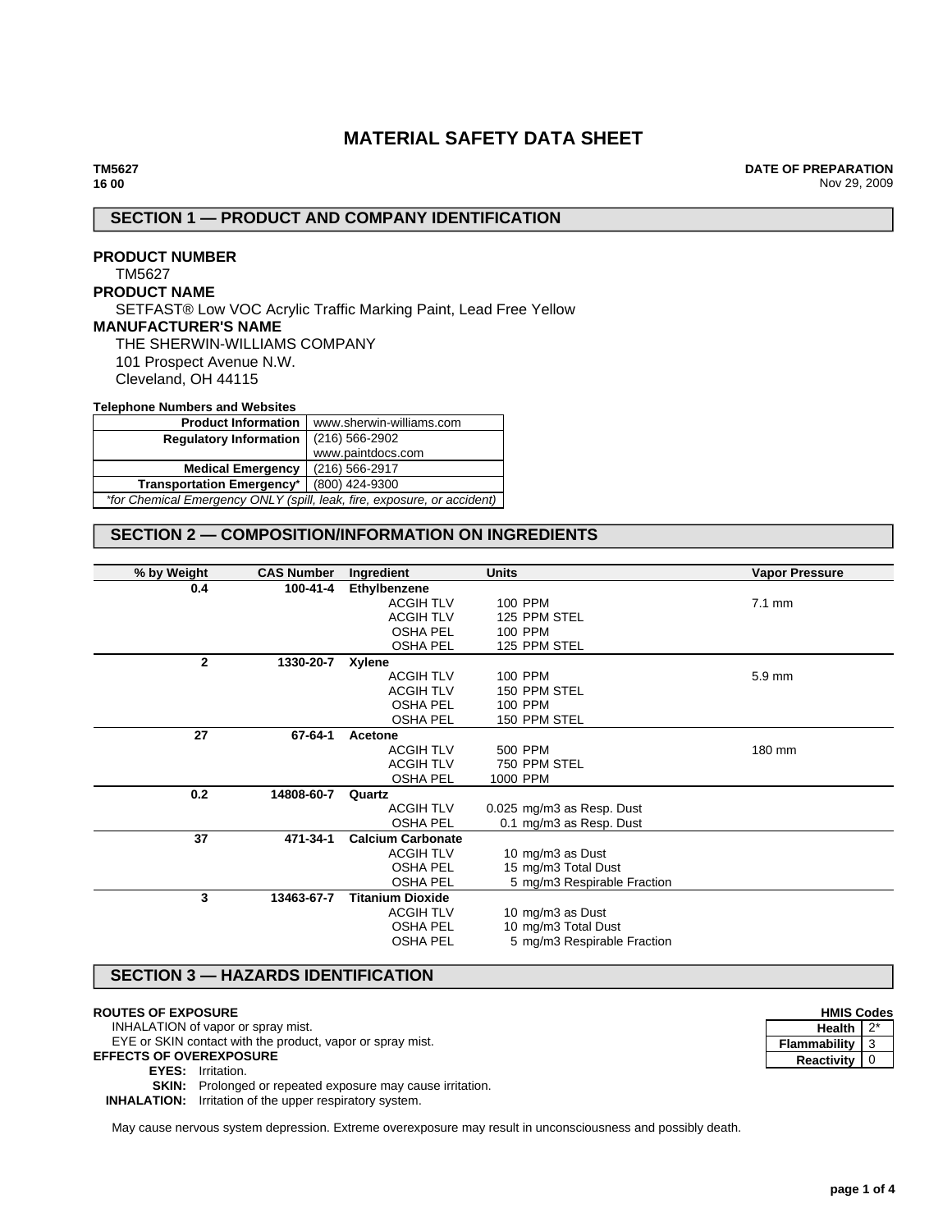# **MATERIAL SAFETY DATA SHEET**

**DATE OF PREPARATION** Nov 29, 2009

## **SECTION 1 — PRODUCT AND COMPANY IDENTIFICATION**

**PRODUCT NUMBER** TM5627 **PRODUCT NAME** SETFAST® Low VOC Acrylic Traffic Marking Paint, Lead Free Yellow **MANUFACTURER'S NAME** THE SHERWIN-WILLIAMS COMPANY 101 Prospect Avenue N.W. Cleveland, OH 44115

### **Telephone Numbers and Websites**

| <b>Product Information</b>                                              | www.sherwin-williams.com |  |
|-------------------------------------------------------------------------|--------------------------|--|
| <b>Regulatory Information</b>                                           | $(216)$ 566-2902         |  |
|                                                                         | www.paintdocs.com        |  |
| <b>Medical Emergency</b>                                                | (216) 566-2917           |  |
| (800) 424-9300<br><b>Transportation Emergency*</b>                      |                          |  |
| *for Chemical Emergency ONLY (spill, leak, fire, exposure, or accident) |                          |  |

## **SECTION 2 — COMPOSITION/INFORMATION ON INGREDIENTS**

| % by Weight  | <b>CAS Number</b> | Ingredient               | <b>Units</b>                | <b>Vapor Pressure</b> |
|--------------|-------------------|--------------------------|-----------------------------|-----------------------|
| 0.4          | 100-41-4          | Ethylbenzene             |                             |                       |
|              |                   | <b>ACGIH TLV</b>         | 100 PPM                     | $7.1 \text{ mm}$      |
|              |                   | <b>ACGIH TLV</b>         | 125 PPM STEL                |                       |
|              |                   | <b>OSHA PEL</b>          | 100 PPM                     |                       |
|              |                   | <b>OSHA PEL</b>          | 125 PPM STEL                |                       |
| $\mathbf{2}$ | 1330-20-7         | Xylene                   |                             |                       |
|              |                   | <b>ACGIH TLV</b>         | 100 PPM                     | 5.9 mm                |
|              |                   | <b>ACGIH TLV</b>         | 150 PPM STEL                |                       |
|              |                   | <b>OSHA PEL</b>          | 100 PPM                     |                       |
|              |                   | <b>OSHA PEL</b>          | 150 PPM STEL                |                       |
| 27           | 67-64-1           | Acetone                  |                             |                       |
|              |                   | <b>ACGIH TLV</b>         | 500 PPM                     | 180 mm                |
|              |                   | <b>ACGIH TLV</b>         | 750 PPM STEL                |                       |
|              |                   | <b>OSHA PEL</b>          | 1000 PPM                    |                       |
| 0.2          | 14808-60-7        | Quartz                   |                             |                       |
|              |                   | <b>ACGIH TLV</b>         | 0.025 mg/m3 as Resp. Dust   |                       |
|              |                   | <b>OSHA PEL</b>          | 0.1 mg/m3 as Resp. Dust     |                       |
| 37           | 471-34-1          | <b>Calcium Carbonate</b> |                             |                       |
|              |                   | <b>ACGIH TLV</b>         | 10 mg/m3 as Dust            |                       |
|              |                   | <b>OSHA PEL</b>          | 15 mg/m3 Total Dust         |                       |
|              |                   | <b>OSHA PEL</b>          | 5 mg/m3 Respirable Fraction |                       |
| 3            | 13463-67-7        | <b>Titanium Dioxide</b>  |                             |                       |
|              |                   | <b>ACGIH TLV</b>         | 10 mg/m3 as Dust            |                       |
|              |                   | <b>OSHA PEL</b>          | 10 mg/m3 Total Dust         |                       |
|              |                   | <b>OSHA PEL</b>          | 5 mg/m3 Respirable Fraction |                       |
|              |                   |                          |                             |                       |

## **SECTION 3 — HAZARDS IDENTIFICATION**

#### **ROUTES OF EXPOSURE**

INHALATION of vapor or spray mist.

EYE or SKIN contact with the product, vapor or spray mist.

**EFFECTS OF OVEREXPOSURE**

#### **EYES:** Irritation.

**SKIN:** Prolonged or repeated exposure may cause irritation.

**INHALATION:** Irritation of the upper respiratory system.

May cause nervous system depression. Extreme overexposure may result in unconsciousness and possibly death.

| <b>HMIS Codes</b> |  |  |
|-------------------|--|--|
| Health            |  |  |
| Flammability      |  |  |
| <b>Reactivity</b> |  |  |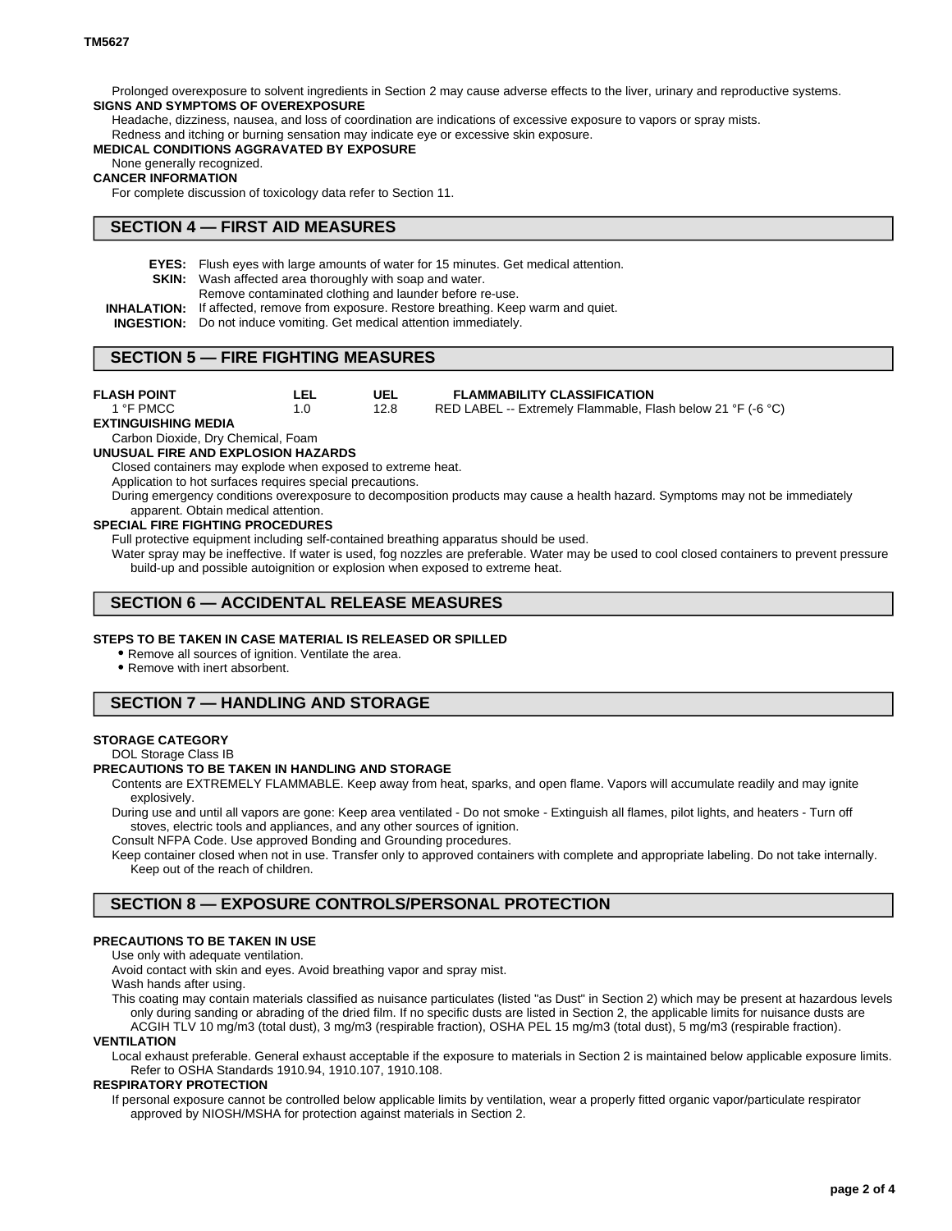Prolonged overexposure to solvent ingredients in Section 2 may cause adverse effects to the liver, urinary and reproductive systems. **SIGNS AND SYMPTOMS OF OVEREXPOSURE**

Headache, dizziness, nausea, and loss of coordination are indications of excessive exposure to vapors or spray mists.

Redness and itching or burning sensation may indicate eye or excessive skin exposure.

#### **MEDICAL CONDITIONS AGGRAVATED BY EXPOSURE**

### None generally recognized.

#### **CANCER INFORMATION**

For complete discussion of toxicology data refer to Section 11.

## **SECTION 4 — FIRST AID MEASURES**

**EYES:** Flush eyes with large amounts of water for 15 minutes. Get medical attention.

**SKIN:** Wash affected area thoroughly with soap and water.

- Remove contaminated clothing and launder before re-use.
- **INHALATION:** If affected, remove from exposure. Restore breathing. Keep warm and quiet.
- **INGESTION:** Do not induce vomiting. Get medical attention immediately.

### **SECTION 5 — FIRE FIGHTING MEASURES**

**UEL** 12.8 **LEL** 1.0 **FLASH POINT** 1 °F PMCC **FLAMMABILITY CLASSIFICATION** RED LABEL -- Extremely Flammable, Flash below 21 °F (-6 °C) **EXTINGUISHING MEDIA** Carbon Dioxide, Dry Chemical, Foam **UNUSUAL FIRE AND EXPLOSION HAZARDS** Closed containers may explode when exposed to extreme heat. Application to hot surfaces requires special precautions. During emergency conditions overexposure to decomposition products may cause a health hazard. Symptoms may not be immediately apparent. Obtain medical attention.

#### **SPECIAL FIRE FIGHTING PROCEDURES**

Full protective equipment including self-contained breathing apparatus should be used.

Water spray may be ineffective. If water is used, fog nozzles are preferable. Water may be used to cool closed containers to prevent pressure build-up and possible autoignition or explosion when exposed to extreme heat.

## **SECTION 6 — ACCIDENTAL RELEASE MEASURES**

#### **STEPS TO BE TAKEN IN CASE MATERIAL IS RELEASED OR SPILLED**

• Remove all sources of ignition. Ventilate the area.

Remove with inert absorbent.

## **SECTION 7 — HANDLING AND STORAGE**

#### **STORAGE CATEGORY**

DOL Storage Class IB

### **PRECAUTIONS TO BE TAKEN IN HANDLING AND STORAGE**

Contents are EXTREMELY FLAMMABLE. Keep away from heat, sparks, and open flame. Vapors will accumulate readily and may ignite explosively.

During use and until all vapors are gone: Keep area ventilated - Do not smoke - Extinguish all flames, pilot lights, and heaters - Turn off stoves, electric tools and appliances, and any other sources of ignition.

Consult NFPA Code. Use approved Bonding and Grounding procedures.

Keep container closed when not in use. Transfer only to approved containers with complete and appropriate labeling. Do not take internally. Keep out of the reach of children.

## **SECTION 8 — EXPOSURE CONTROLS/PERSONAL PROTECTION**

### **PRECAUTIONS TO BE TAKEN IN USE**

Use only with adequate ventilation.

Avoid contact with skin and eyes. Avoid breathing vapor and spray mist.

Wash hands after using.

This coating may contain materials classified as nuisance particulates (listed "as Dust" in Section 2) which may be present at hazardous levels only during sanding or abrading of the dried film. If no specific dusts are listed in Section 2, the applicable limits for nuisance dusts are ACGIH TLV 10 mg/m3 (total dust), 3 mg/m3 (respirable fraction), OSHA PEL 15 mg/m3 (total dust), 5 mg/m3 (respirable fraction).

#### **VENTILATION**

Local exhaust preferable. General exhaust acceptable if the exposure to materials in Section 2 is maintained below applicable exposure limits. Refer to OSHA Standards 1910.94, 1910.107, 1910.108.

#### **RESPIRATORY PROTECTION**

If personal exposure cannot be controlled below applicable limits by ventilation, wear a properly fitted organic vapor/particulate respirator approved by NIOSH/MSHA for protection against materials in Section 2.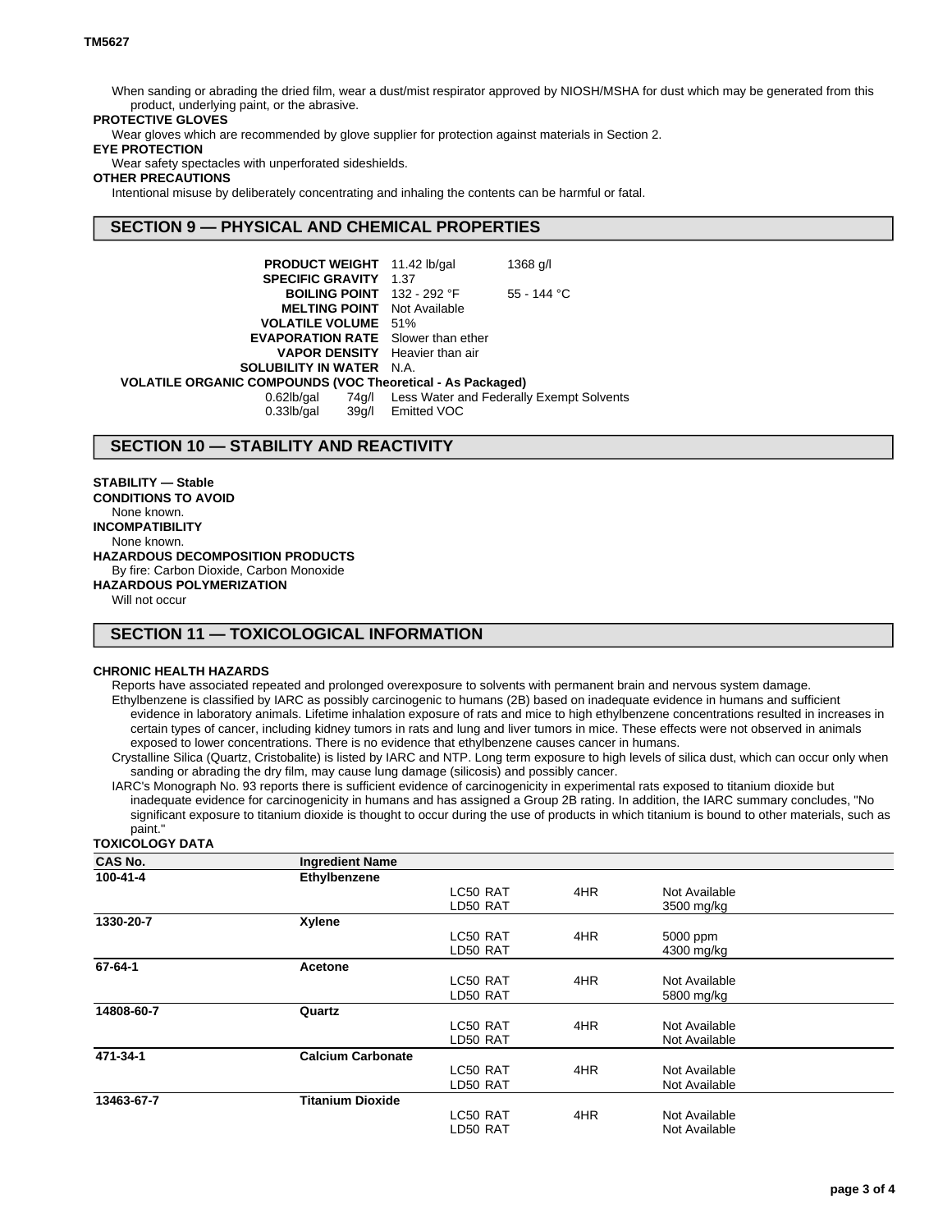When sanding or abrading the dried film, wear a dust/mist respirator approved by NIOSH/MSHA for dust which may be generated from this product, underlying paint, or the abrasive.

### **PROTECTIVE GLOVES**

Wear gloves which are recommended by glove supplier for protection against materials in Section 2.

### **EYE PROTECTION**

Wear safety spectacles with unperforated sideshields.

### **OTHER PRECAUTIONS**

Intentional misuse by deliberately concentrating and inhaling the contents can be harmful or fatal.

### **SECTION 9 — PHYSICAL AND CHEMICAL PROPERTIES**

| <b>PRODUCT WEIGHT</b> 11.42 lb/gal                                |                   | 1368 g/l                                       |  |  |
|-------------------------------------------------------------------|-------------------|------------------------------------------------|--|--|
| <b>SPECIFIC GRAVITY 1.37</b>                                      |                   |                                                |  |  |
| <b>BOILING POINT</b> $132 - 292$ °F                               |                   | $55 - 144$ °C                                  |  |  |
| <b>MELTING POINT</b> Not Available                                |                   |                                                |  |  |
| <b>VOLATILE VOLUME</b> 51%                                        |                   |                                                |  |  |
| <b>EVAPORATION RATE</b> Slower than ether                         |                   |                                                |  |  |
| <b>VAPOR DENSITY</b> Heavier than air                             |                   |                                                |  |  |
| <b>SOLUBILITY IN WATER N.A.</b>                                   |                   |                                                |  |  |
| <b>VOLATILE ORGANIC COMPOUNDS (VOC Theoretical - As Packaged)</b> |                   |                                                |  |  |
| $0.62$ lb/gal                                                     |                   | 74g/l Less Water and Federally Exempt Solvents |  |  |
| $0.33$ lb/gal                                                     | 39q/l Emitted VOC |                                                |  |  |

### **SECTION 10 — STABILITY AND REACTIVITY**

**STABILITY — Stable CONDITIONS TO AVOID** None known. **INCOMPATIBILITY** None known. **HAZARDOUS DECOMPOSITION PRODUCTS** By fire: Carbon Dioxide, Carbon Monoxide **HAZARDOUS POLYMERIZATION**

Will not occur

## **SECTION 11 — TOXICOLOGICAL INFORMATION**

#### **CHRONIC HEALTH HAZARDS**

Reports have associated repeated and prolonged overexposure to solvents with permanent brain and nervous system damage. Ethylbenzene is classified by IARC as possibly carcinogenic to humans (2B) based on inadequate evidence in humans and sufficient evidence in laboratory animals. Lifetime inhalation exposure of rats and mice to high ethylbenzene concentrations resulted in increases in certain types of cancer, including kidney tumors in rats and lung and liver tumors in mice. These effects were not observed in animals exposed to lower concentrations. There is no evidence that ethylbenzene causes cancer in humans.

Crystalline Silica (Quartz, Cristobalite) is listed by IARC and NTP. Long term exposure to high levels of silica dust, which can occur only when sanding or abrading the dry film, may cause lung damage (silicosis) and possibly cancer.

IARC's Monograph No. 93 reports there is sufficient evidence of carcinogenicity in experimental rats exposed to titanium dioxide but inadequate evidence for carcinogenicity in humans and has assigned a Group 2B rating. In addition, the IARC summary concludes, "No significant exposure to titanium dioxide is thought to occur during the use of products in which titanium is bound to other materials, such as paint."

#### **TOXICOLOGY DATA**

| <b>CAS No.</b> | <b>Ingredient Name</b>   |          |     |               |  |
|----------------|--------------------------|----------|-----|---------------|--|
| 100-41-4       | Ethylbenzene             |          |     |               |  |
|                |                          | LC50 RAT | 4HR | Not Available |  |
|                |                          | LD50 RAT |     | 3500 mg/kg    |  |
| 1330-20-7      | Xylene                   |          |     |               |  |
|                |                          | LC50 RAT | 4HR | 5000 ppm      |  |
|                |                          | LD50 RAT |     | 4300 mg/kg    |  |
| 67-64-1        | Acetone                  |          |     |               |  |
|                |                          | LC50 RAT | 4HR | Not Available |  |
|                |                          | LD50 RAT |     | 5800 mg/kg    |  |
| 14808-60-7     | Quartz                   |          |     |               |  |
|                |                          | LC50 RAT | 4HR | Not Available |  |
|                |                          | LD50 RAT |     | Not Available |  |
| 471-34-1       | <b>Calcium Carbonate</b> |          |     |               |  |
|                |                          | LC50 RAT | 4HR | Not Available |  |
|                |                          | LD50 RAT |     | Not Available |  |
| 13463-67-7     | <b>Titanium Dioxide</b>  |          |     |               |  |
|                |                          | LC50 RAT | 4HR | Not Available |  |
|                |                          | LD50 RAT |     | Not Available |  |